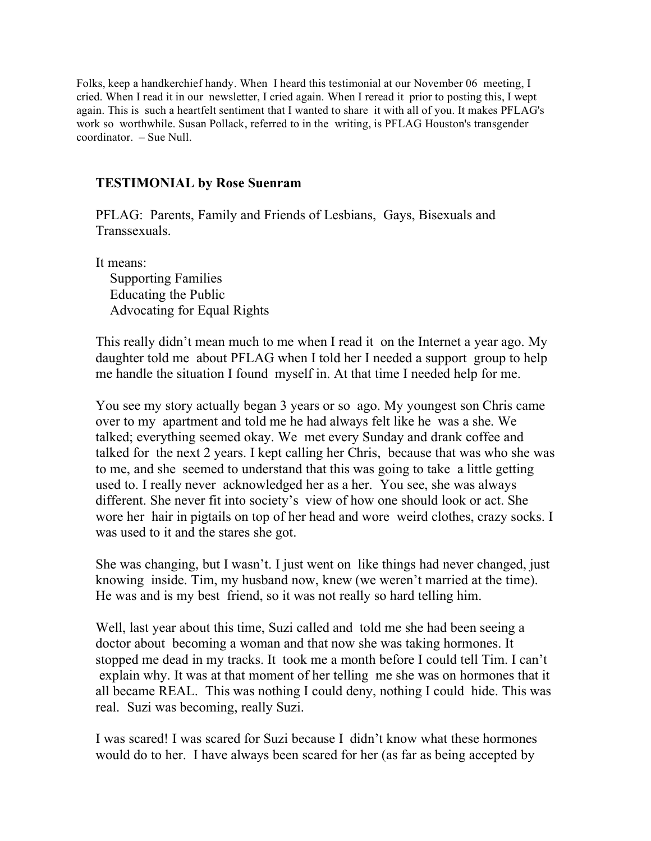Folks, keep a handkerchief handy. When I heard this testimonial at our November 06 meeting, I cried. When I read it in our newsletter, I cried again. When I reread it prior to posting this, I wept again. This is such a heartfelt sentiment that I wanted to share it with all of you. It makes PFLAG's work so worthwhile. Susan Pollack, referred to in the writing, is PFLAG Houston's transgender coordinator. – Sue Null.

## **TESTIMONIAL by Rose Suenram**

PFLAG: Parents, Family and Friends of Lesbians, Gays, Bisexuals and Transsexuals.

It means:

Supporting Families Educating the Public Advocating for Equal Rights

This really didn't mean much to me when I read it on the Internet a year ago. My daughter told me about PFLAG when I told her I needed a support group to help me handle the situation I found myself in. At that time I needed help for me.

You see my story actually began 3 years or so ago. My youngest son Chris came over to my apartment and told me he had always felt like he was a she. We talked; everything seemed okay. We met every Sunday and drank coffee and talked for the next 2 years. I kept calling her Chris, because that was who she was to me, and she seemed to understand that this was going to take a little getting used to. I really never acknowledged her as a her. You see, she was always different. She never fit into society's view of how one should look or act. She wore her hair in pigtails on top of her head and wore weird clothes, crazy socks. I was used to it and the stares she got.

She was changing, but I wasn't. I just went on like things had never changed, just knowing inside. Tim, my husband now, knew (we weren't married at the time). He was and is my best friend, so it was not really so hard telling him.

Well, last year about this time, Suzi called and told me she had been seeing a doctor about becoming a woman and that now she was taking hormones. It stopped me dead in my tracks. It took me a month before I could tell Tim. I can't explain why. It was at that moment of her telling me she was on hormones that it all became REAL. This was nothing I could deny, nothing I could hide. This was real. Suzi was becoming, really Suzi.

I was scared! I was scared for Suzi because I didn't know what these hormones would do to her. I have always been scared for her (as far as being accepted by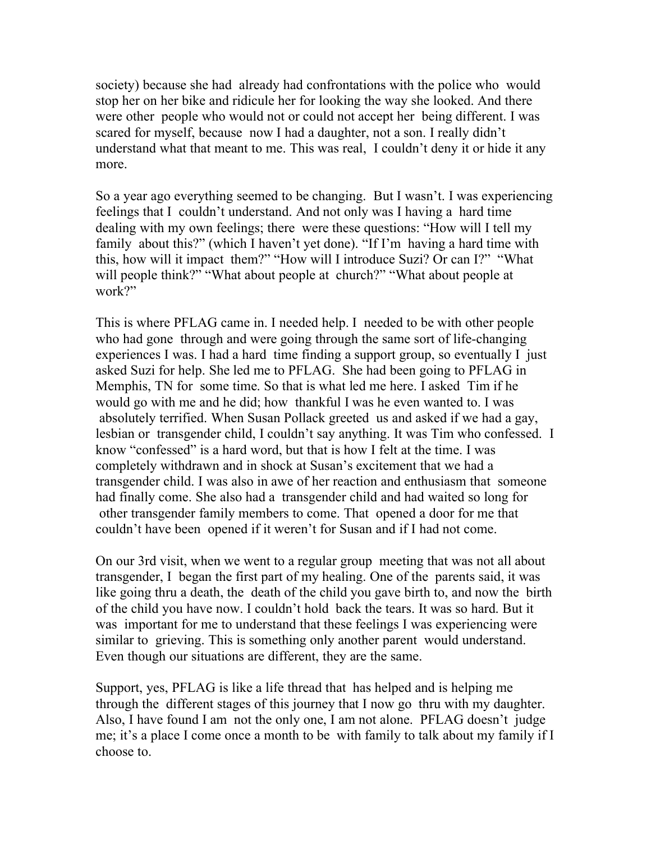society) because she had already had confrontations with the police who would stop her on her bike and ridicule her for looking the way she looked. And there were other people who would not or could not accept her being different. I was scared for myself, because now I had a daughter, not a son. I really didn't understand what that meant to me. This was real, I couldn't deny it or hide it any more.

So a year ago everything seemed to be changing. But I wasn't. I was experiencing feelings that I couldn't understand. And not only was I having a hard time dealing with my own feelings; there were these questions: "How will I tell my family about this?" (which I haven't yet done). "If I'm having a hard time with this, how will it impact them?" "How will I introduce Suzi? Or can I?" "What will people think?" "What about people at church?" "What about people at work?"

This is where PFLAG came in. I needed help. I needed to be with other people who had gone through and were going through the same sort of life-changing experiences I was. I had a hard time finding a support group, so eventually I just asked Suzi for help. She led me to PFLAG. She had been going to PFLAG in Memphis, TN for some time. So that is what led me here. I asked Tim if he would go with me and he did; how thankful I was he even wanted to. I was absolutely terrified. When Susan Pollack greeted us and asked if we had a gay, lesbian or transgender child, I couldn't say anything. It was Tim who confessed. I know "confessed" is a hard word, but that is how I felt at the time. I was completely withdrawn and in shock at Susan's excitement that we had a transgender child. I was also in awe of her reaction and enthusiasm that someone had finally come. She also had a transgender child and had waited so long for other transgender family members to come. That opened a door for me that couldn't have been opened if it weren't for Susan and if I had not come.

On our 3rd visit, when we went to a regular group meeting that was not all about transgender, I began the first part of my healing. One of the parents said, it was like going thru a death, the death of the child you gave birth to, and now the birth of the child you have now. I couldn't hold back the tears. It was so hard. But it was important for me to understand that these feelings I was experiencing were similar to grieving. This is something only another parent would understand. Even though our situations are different, they are the same.

Support, yes, PFLAG is like a life thread that has helped and is helping me through the different stages of this journey that I now go thru with my daughter. Also, I have found I am not the only one, I am not alone. PFLAG doesn't judge me; it's a place I come once a month to be with family to talk about my family if I choose to.